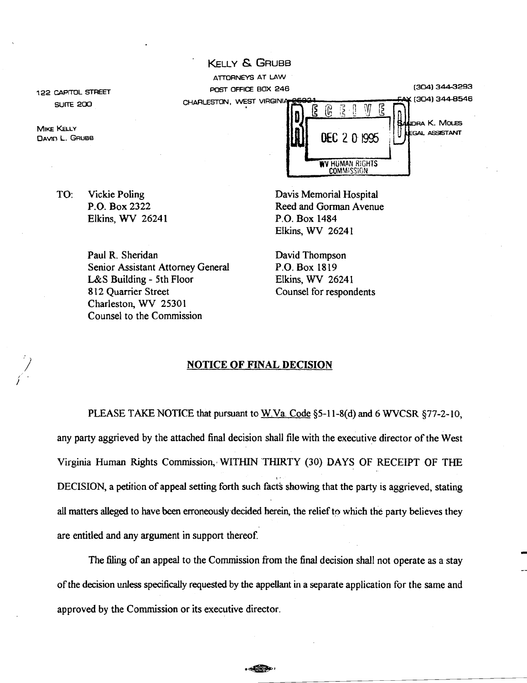122 CAPITOL STREET **SUITE 200** 

**MIKE KELLY** DAVIn L. GRUBB

/ ) TO: Vickie Poling P.O. Box 2322 Elkins, WV 26241

> Paul R. Sheridan Senior Assistant Attorney General L&S Building - 5th Floor 812 Quarrier Street Charleston, WV 25301 Counsel to the Commission

RA K. MOLES GAL ASSISTANT WV HUMAN RIGHTS **COMMISSION** DEC 2 0 1995 POST OFFICE BOX 246 (3041344-3293 CHARLESTON, WEST VIRGINIA 256921<br> $\begin{matrix} 2 \end{matrix}$   $\begin{matrix} 2 \end{matrix}$   $\begin{matrix} 3 \end{matrix}$   $\begin{matrix} 3 \end{matrix}$   $\begin{matrix} 3 \end{matrix}$  344-8546  $E$   $E$   $E$   $1$   $W$ 

Davis Memorial Hospital Reed and Gorman Avenue P.O. Box 1484 Elkins, WV 26241

David Thompson P.O. Box 1819 Elkins, WV 26241 Counsel for respondents

#### NOTICE OF FINAL DECISION

KELLY & GRUBB

ATTORNEYS AT LAW

PLEASE TAKE NOTICE that pursuant to W.Va. Code §5-11-8(d) and 6 WVCSR §77-2-10, any party aggrieved by the attached final decision shall file with the executive director of the West Virginia Human Rights Commission,· WITIllN THIRTY (30) DAYS OF RECEIPT OF THE ,- DECISION, a petition of appeal setting forth such facts showing that the party is aggrieved, stating all matters alleged to have been erroneously decided herein, the relief to which the party believes they are entitled and any argument in support thereof.

The filing of an appeal to the Commission from the final decision shall not operate as a stay ofthe decision unless specifically requested by the appeUant in a separate application for the same and approved by the Commission or its executive director.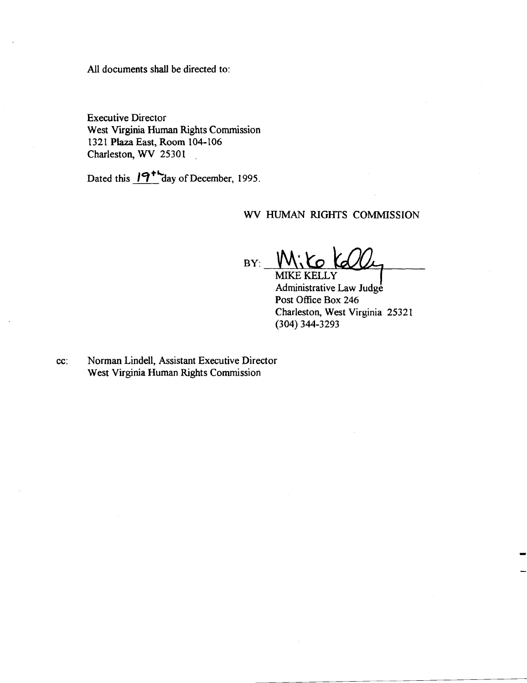All documents shall be directed to:

Executive Director West Virginia Human Rights Commission 1321 Plaza East, Room 104-106 Charleston, WV 25301

Dated this  $19^+$  day of December, 1995.

## WV HUMAN RIGHTS COMMISSION

 $BY:$ MIKE KELLY

Administrative Law Judge Post Office Box 246 Charleston, West Virginia 25321 (304) 344-3293

cc: Norman Lindell, Assistant Executive Director West Virginia Human Rights Commission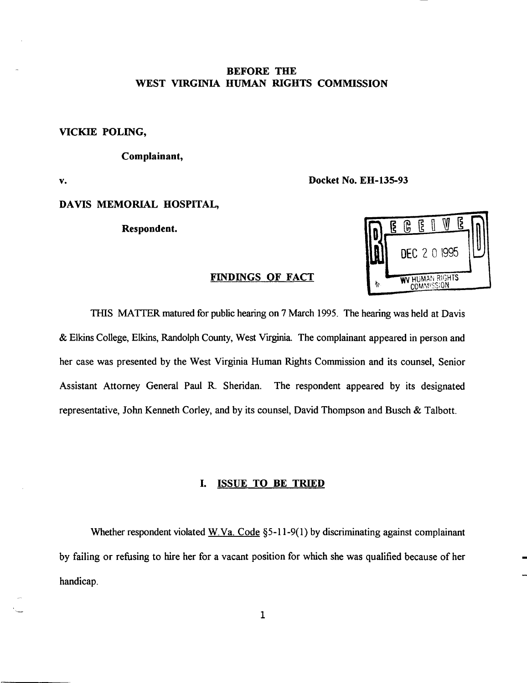# BEFORE THE WEST VIRGINIA HUMAN RIGHTS COMMISSION

VICKIE POLING,

Complainant,

v.

Docket No. EH-135-93

# DAVIS MEMORIAL HOSPITAL,

Respondent.



THIS MATTER matured for public hearing on 7 March 1995. The hearing was held at Davis & Elkins College, Elkins, Randolph County, West Vrrginia. The complainant appeared in person and her case was presented by the West Virginia Human Rights Commission and its counsel, Senior Assistant Attorney General Paul R. Sheridan. The respondent appeared by its designated representative, John Kenneth Corley, and by its counsel, David Thompson and Busch & Talbott.

## I. ISSUE TO BE TRIED

Whether respondent violated <u>W.Va. Code</u> §5-11-9(1) by discriminating against complainant by failing or refusing to hire her for a vacant position for which she was qualified because of her handicap.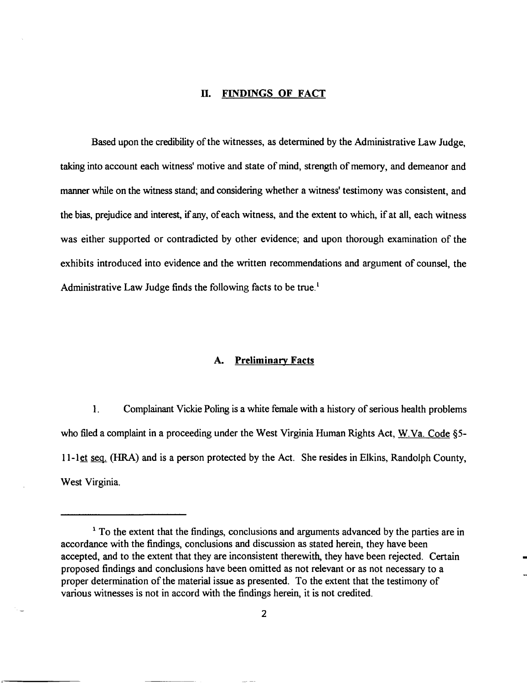#### D. FINDINGS **OF** FACT

Based upon the credibility of the witnesses, as determined by the Administrative Law Judge, taking into account each witness' motive and state of mind, strength of memory, and demeanor and manner while on the witness stand; and considering whether a witness' testimony was consistent, and the bias, prejudice and interest, if any, of each witness, and the extent to which, if at all, each witness was either supported or contradicted by other evidence; and upon thorough examination of the exhibits introduced into evidence and the written recommendations and argument of counsel, the Administrative Law Judge finds the following facts to be true.<sup>1</sup>

### A. **Preliminary** Facts

1. Complainant Vickie Poling is a white female with a history of serious health problems who filed a complaint in a proceeding under the West Virginia Human Rights Act, W.Va. Code §5-II-let seq. (HRA) and is a person protected by the Act. She resides in Elkins, Randolph County, West Virginia.

<sup>&</sup>lt;sup>1</sup> To the extent that the findings, conclusions and arguments advanced by the parties are in accordance with the findings, conclusions and discussion as stated herein, they have been accepted, and to the extent that they are inconsistent therewith, they have been rejected. Certain proposed findings and conclusions have been omitted as not relevant or as not necessary to a proper determination of the material issue as presented. To the extent that the testimony of various witnesses is not in accord with the findings herein, it is not credited.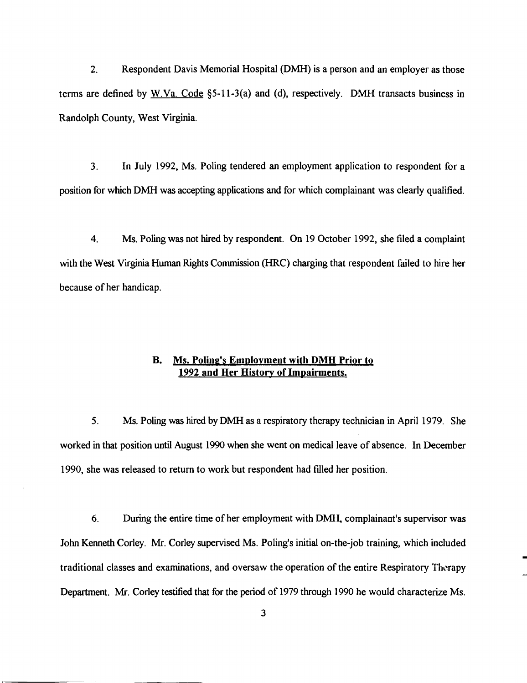2. Respondent Davis Memorial Hospital (DMH) is a person and an employer as those terms are defined by W.Va. Code §5-11-3(a) and (d), respectively. DMH transacts business in Randolph County, West Virginia.

3. In July 1992, Ms. Poling tendered an employment application to respondent for a position for which DMH was accepting applications and for which complainant was clearly qualified.

4. Ms. Poling was not hired by respondent. On 19 October 1992, she filed a complaint with the West Virginia Human Rights Commission (HRC) charging that respondent failed to hire her because of her handicap.

# B. Ms. Poling's Employment with DMH Prior to 1992 and Her History of Impairments.

5. Ms. Poling was hired byDMH as a respiratory therapy technician in April 1979. She worked in that position until August 1990 when she went on medical leave of absence. In December 1990, she was released to return to work but respondent had filled her position.

6. During the entire time of her employment with DMH, complainant's supervisor was John Kenneth Corley. Mr. Corley supervised Ms. Poling's initial on-the-job training, which included traditional classes and examinations, and oversaw the operation of the entire Respiratory Therapy Department. Mr. Corley testified that for the period of 1979 through 1990 he would characterize Ms.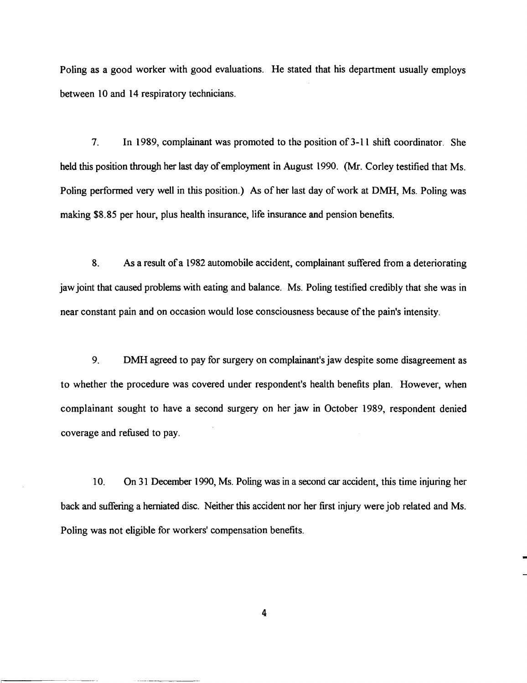Poling as a good worker with good evaluations. He stated that his department usually employs between 10 and 14 respiratory technicians.

7. In 1989, complainant was promoted to the position of 3-11 shift coordinator. She held this position through her last day of employment in August 1990. (Mr. Corley testified that Ms. Poling performed very well in this position.) As of her last day of work at DMH, Ms. Poling was making \$8.85 per hour, plus health insurance, life insurance and pension benefits.

8. As a result of a 1982 automobile accident, complainant suffered from a deteriorating jaw joint that caused problems with eating and balance. Ms. Poling testified credibly that she was in near constant pain and on occasion would lose consciousness because ofthe pain's intensity.

9. DMH agreed to pay for surgery on complainant's jaw despite some disagreement as to whether the procedure was covered under respondent's health benefits plan. However, when complainant sought to have a second surgery on her jaw in October 1989, respondent denied coverage and refused to pay.

10. On 31 December 1990, Ms. Poling was in a second car accident, this time injuring her back and suffering a herniated disc. Neither this accident nor her first injury were job related and Ms. Poling was not eligible for workers' compensation benefits.

4

r-----~~---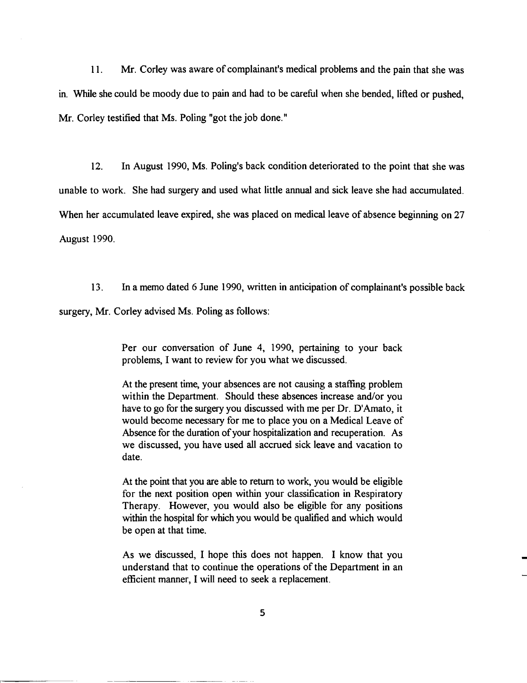11. Mr. Corley was aware of complainant's medical problems and the pain that she was m. While she could be moody due to pain and had to be careful when she bended, lifted or pushed, Mr. Corley testified that Ms. Poling "got the job done."

12. In August 1990, Ms. Poling's back condition deteriorated to the point that she was unable to work. She had surgery and used what little annual and sick leave she had accumulated. When her accumulated leave expired, she was placed on medical leave of absence beginning on 27 August 1990.

13. In a memo dated 6 June 1990, written in anticipation of complainant's possible back surgery, Mr. Corley advised Ms. Poling as follows:

> Per our conversation of June 4, 1990, pertaining to your back problems, I want to review for you what we discussed.

> At the present time, your absences are not causing a staffing problem within the Department. Should these absences increase and/or you have to go for the surgery you discussed with me per Dr. D'Amato, it would become necessary for me to place you on a Medical Leave of Absence for the duration of your hospitalization and recuperation. As we discussed, you have used all accrued sick leave and vacation to date.

> At the point that you are able to return to work, you would be eligible for the next position open within your classification in Respiratory Therapy. However, you would also be eligible for any positions within the hospital for which you would be qualified and which would be open at that time.

> As we discussed, I hope this does not happen. I know that you understand that to continue the operations of the Department in an efficient manner, I will need to seek a replacement.

> > 5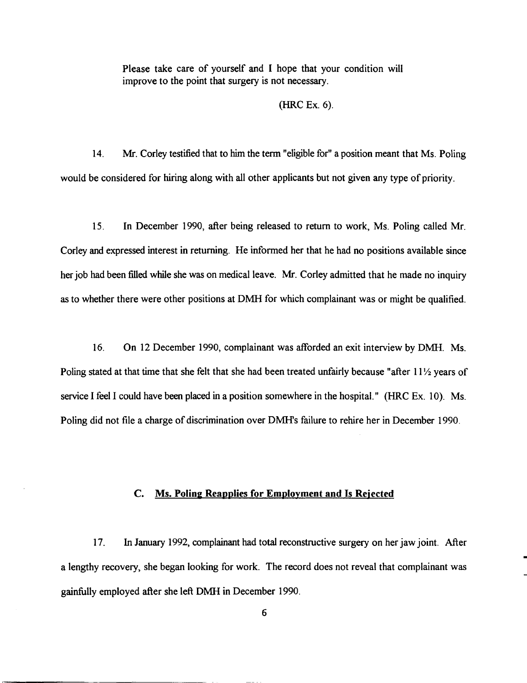Please take care of yourself and I hope that your condition will improve to the point that surgery is not necessary.

#### (HRC Ex. 6).

14. Mr. Corley testified that to him the term "eligible for" a position meant that Ms. Poling would be considered for hiring along with all other applicants but not given any type of priority.

15. In December 1990, after being released to return to work, Ms. Poling called Mr. Corley and expressed interest in returning. He informed her that he had no positions available since her job had been filled while she was on medical leave. Mr. Corley admitted that he made no inquiry as to whether there were other positions at DMH for which complainant was or might be qualified.

16. On 12 December 1990, complainant was afforded an exit interview by DMH. Ms. Poling stated at that time that she felt that she had been treated unfairly because "after 11<sup>1</sup>/<sub>2</sub> years of service I feel I could have been placed in a position somewhere in the hospital." (HRC Ex. 10). Ms. Poling did not file a charge of discrimination over DMH's failure to rehire her in December 1990.

### c. Ms. Poling Reapplies for Employment and Is Rejected

17. In January 1992, complainant had total reconstructive surgery on her jaw joint. After a lengthy recovery, she began looking for work. The record does not reveal that complainant was gainfully employed after she left DMH in December 1990.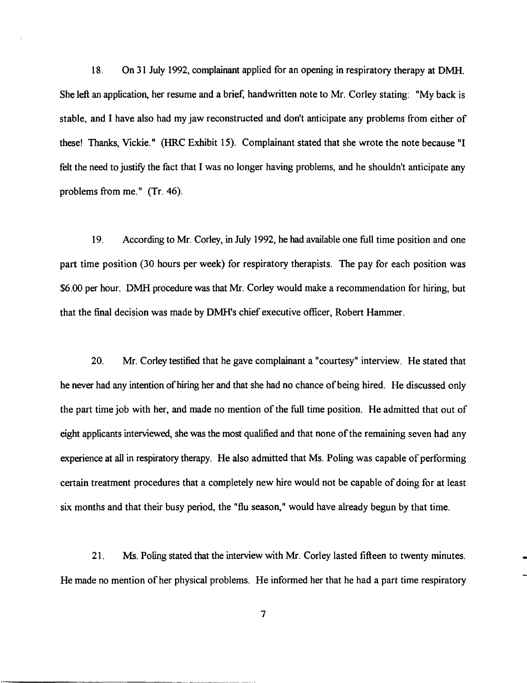18. On 31 July 1992, complainant applied for an opening in respiratory therapy at DMH. She left an application, her resume and a brief, handwritten note to Mr. Corley stating: "My back is stable, and I have also had my jaw reconstructed and don't anticipate any problems from either of these! Thanks, Vickie." (HRC Exhibit 15). Complainant stated that she wrote the note because "I felt the need to justify the fact that I was no longer having problems, and he shouldn't anticipate any problems from me." (Tr. 46).

19. According to Mr. Corley, in July 1992, he had available one full time position and one part time position (30 hours per week) for respiratory therapists. The pay for each position was \$6.00 per hour. DMH procedure was that Mr. Corley would make a recommendation for hiring, but that the final decision was made by DMH's chief executive officer, Robert Hammer.

20. Mr. Corley testified that he gave complainant a "courtesy" interview. He stated that he never had any intention of hiring her and that she had no chance of being hired. He discussed only the part time job with her, and made no mention of the full time position. He admitted that out of eight applicants interviewed, she was the most qualified and that none of the remaining seven had any experience at all in respiratory therapy. He also admitted that Ms. Poling was capable of performing certain treatment procedures that a completely new hire would not be capable of doing for at least six months and that their busy period, the "flu season," would have already begun by that time.

21. Ms. Poling stated that the interview with Mr. Corley lasted fifteen to twenty minutes. He made no mention of her physical problems. He informed her that he had a part time respiratory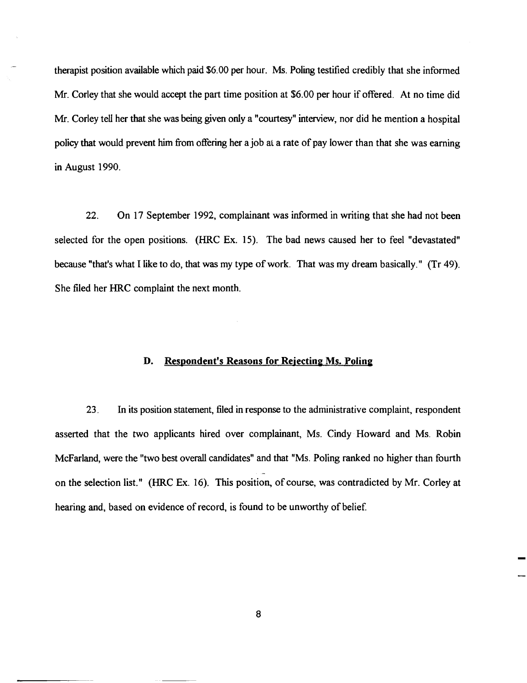therapist position available which paid \$6.00 per hour. Ms. Poling testified credibly that she informed Mr. Corley that she would accept the part time position at \$6.00 per hour if offered. At no time did Mr. Corley tell her that she was being given only a "courtesy" interview, nor did he mention a hospital policy that would prevent him from offering her a job at a rate of pay lower than that she was earning in August 1990.

22. On 17 September 1992, complainant was informed in writing that she had not been selected for the open positions. (HRC Ex. 15). The bad news caused her to feel "devastated" because "that's what I like to do, that was my type of work. That was my dream basically." (Tr 49). She filed her HRC complaint the next month.

# D. Respondent's Reasons for Rejecting Ms. Poling

23. In its position statement, filed in response to the administrative complaint, respondent asserted that the two applicants hired over complainant, Ms. Cindy Howard and Ms. Robin McFarland, were the "two best overall candidates" and that "Ms. Poling ranked no higher than fourth on the selection list." (HRC Ex. 16). This position, of course, was contradicted by Mr. Corley at hearing and, based on evidence of record, is found to be unworthy of belief.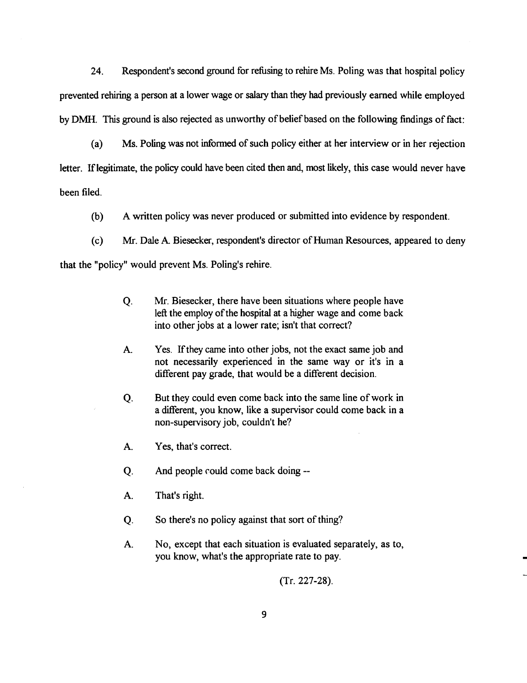24. Respondent's second ground for refusing to rehire Ms. Poling was that hospital policy prevented rehiring a person at a lower wage or salary than they had previously earned while employed by DMH. This ground is also rejected as unworthy of belief based on the following findings of fact:

(a) Ms. Poling was not informed of such policy either at her interview or in her rejection letter. Iflegitimate, the policy could have been cited then and, most likely, this case would never have been filed.

(b) A written policy was never produced or submitted into evidence by respondent.

(c) Mr. Dale A. Biesecker, respondent's director of Human Resources, appeared to deny

that the "policy" would prevent Ms. Poling's rehire.

- Q. Mr. Biesecker, there have been situations where people have left the employ of the hospital at a higher wage and come back into other jobs at a lower rate; isn't that correct?
- A. Yes. If they came into other jobs, not the exact same job and not necessarily experienced in the same way or it's in a different pay grade, that would be a different decision.
- Q. But they could even come back into the same line of work in a different, you know, like a supervisor could come back in a non-supervisory job, couldn't he?
- A. Yes, that's correct.
- Q. And people could come back doing --
- A. That's right.
- Q. So there's no policy against that sort of thing?
- A. No, except that each situation is evaluated separately, as to, you know, what's the appropriate rate to pay.

(Tr. 227-28).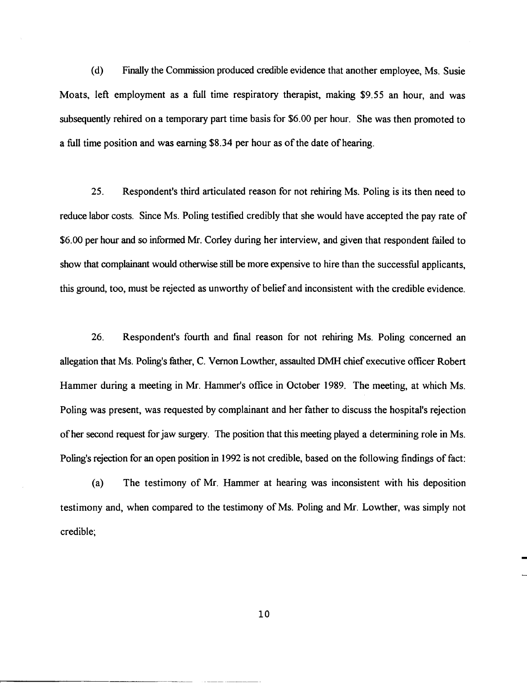(d) Finally the Commission produced credible evidence that another employee, Ms. Susie Moats, left employment as a full time respiratory therapist, making \$9.55 an hour, and was subsequently rehired on a temporary part time basis for \$6.00 per hour. She was then promoted to a full time position and was earning \$8.34 per hour as of the date of hearing.

25. Respondent's third articulated reason for not rehiring Ms. Poling is its then need to reduce labor costs. Since Ms. Poling testified credibly that she would have accepted the pay rate of \$6.00 per hour and so informed Mr. Corley during her interview, and given that respondent failed to show that complainant would otherwise still be more expensive to hire than the successful applicants, this ground, too, must be rejected as unworthy of belief and inconsistent with the credible evidence.

26. Respondent's fourth and final reason for not rehiring Ms. Poling concerned an allegation that Ms. Poling's father, C. Vernon Lowther, assaulted DMH chief executive officer Robert Hammer during a meeting in Mr. Hammer's office in October 1989. The meeting, at which Ms. Poling was present, was requested by complainant and her father to discuss the hospital's rejection ofher second request for jaw surgery. The position that this meeting played a determining role in Ms. Poling's rejection for an open position in 1992 is not credible, based on the following findings of fact:

(a) The testimony of Mr. Hammer at hearing was inconsistent with his deposition testimony and, when compared to the testimony of Ms. Poling and Mr. Lowther, was simply not credible;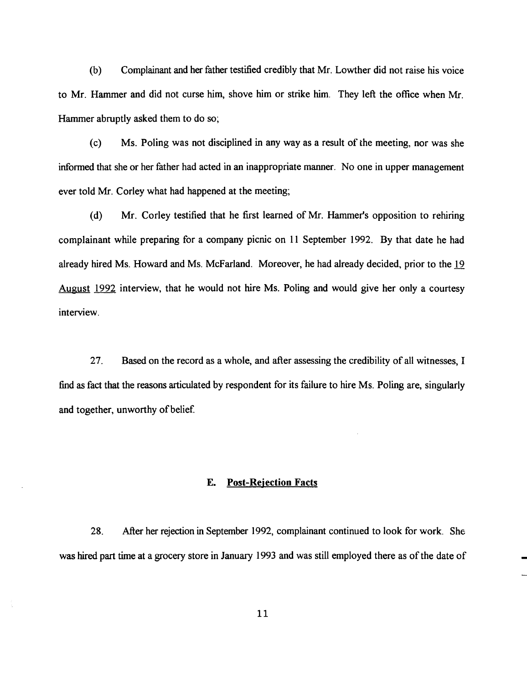(b) Complainant and her father testified credibly that Mr. Lowther did not raise his voice to Mr. Hammer and did not curse him, shove him or strike him. They left the office when Mr. Hammer abruptly asked them to do so;

(c) Ms. Poling was not disciplined in any way as a result of the meeting, nor was she informed that she or her father had acted in an inappropriate manner. No one in upper management ever told Mr. Corley what had happened at the meeting;

(d) Mr. Corley testified that he first learned of Mr. Hammer's opposition to rehiring complainant while preparing for a company picnic on 11 September 1992. By that date he had already hired Ms. Howard and Ms. McFarland. Moreover, he had already decided, prior to the 19 August 1992 interview, that he would not hire Ms. Poling and would give her only a courtesy interview.

27. Based on the record as a whole, and after assessing the credibility of all witnesses, I find as fact that the reasons articulated by respondent for its failure to hire Ms. Poling are, singularly and together, unworthy of belief.

## E. Post-Rejection Facts

28. After her rejection in September 1992, complainant continued to look for work. She was hired part time at a grocery store in January 1993 and was still employed there as of the date of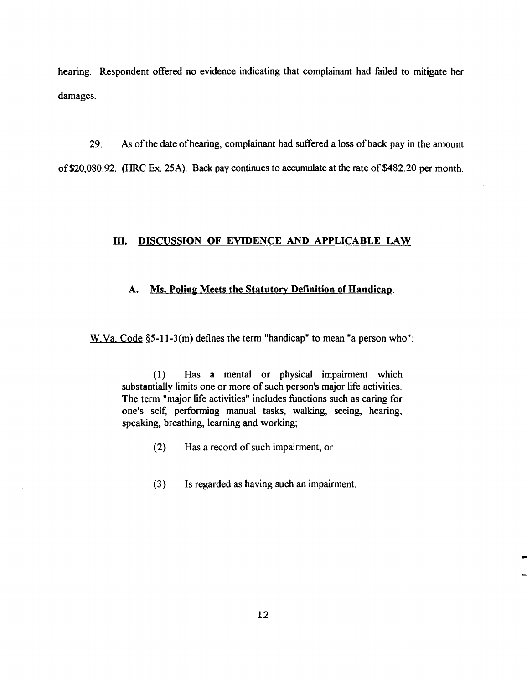hearing. Respondent offered no evidence indicating that complainant had failed to mitigate her damages.

29. *As* ofthe date ofhearing, complainant had suffered a loss of back pay in the amount of \$20,080.92. (HRC Ex. 25A). Back pay continues to accumulate at the rate of \$482.20 per month.

# ill. DISCUSSION OF EVIDENCE AND APPLICABLE LAW

# A. Ms. Poling Meets the Statutory Definition of Handicap.

W.Va. Code §5-11-3(m) defines the term "handicap" to mean "a person who":

(1) Has a mental or physical impairment which substantially limits one or more of such person's major life activities. The term "major life activities" includes functions such as caring for one's self, performing manual tasks, walking, seeing, hearing, speaking, breathing, learning and working;

- $(2)$  Has a record of such impairment; or
- (3) Is regarded as having such an impairment.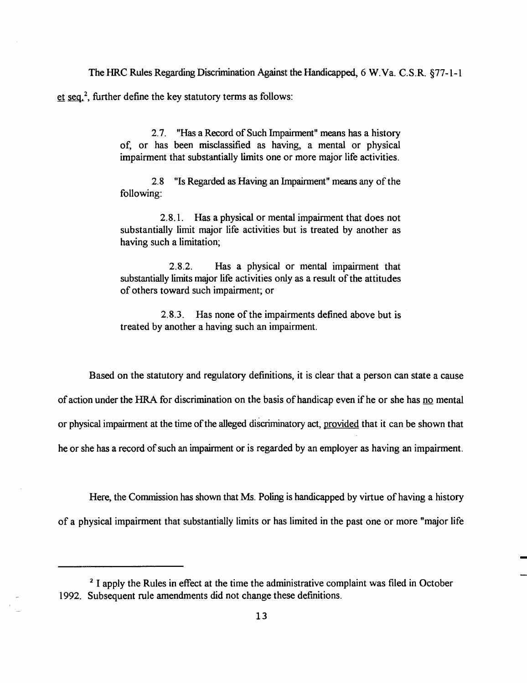The HRC Rules Regarding Discrimination Against the Handicapped, 6 W.Va. C.S.R. §77-1-1

et  $~\text{seq.}^2$ , further define the key statutory terms as follows:

2.7. "Has a Record of Such Impairment" means has a history of, or has been misclassified as having, a mental or physical impairment that substantially limits one or more major life activities.

2.8 "Is Regarded as Having an Impairment" means any of the following:

2.8.1. Has a physical or mental impairment that does not substantially limit major life activities but is treated by another as having such a limitation;

2.8.2. Has a physical or mental impairment that substantially limits major life activities only as a result of the attitudes of others toward such impairment; or

2.8.3. Has none of the impairments defined above but is treated by another a having such an impairment.

Based on the statutory and regulatory definitions, it is clear that a person can state a cause of action under the HRA for discrimination on the basis of handicap even if he or she has no mental or physical impairment at the time of the alleged discriminatory act, provided that it can be shown that he or she has a record of such an impairment or is regarded by an employer as having an impairment.

Here, the Commission has shown that Ms. Poling is handicapped by virtue of having a history of a physical impairment that substantially limits or has limited in the past one or more "major life

<sup>&</sup>lt;sup>2</sup> I apply the Rules in effect at the time the administrative complaint was filed in October 1992. Subsequent rule amendments did not change these definitions.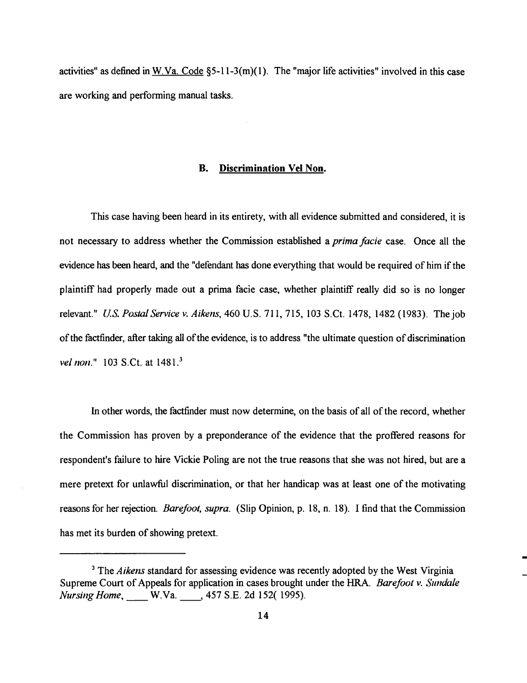activities" as defined in W.Va. Code  $\S$ 5-11-3(m)(1). The "major life activities" involved in this case are working and performing manual tasks.

#### **B. Discrimination Vel Non.**

This case having been heard in its entirety, with all evidence submitted and considered, it is not necessary to address whether the Commission established a *prima facie* case. Once all the evidence has been heard, and the "defendant has done everything that would be required of him if the plaintiff had properly made out a prima facie case, whether plaintiff really did so is no longer relevant." *U.S. Postal Service v. Aikens,* 460 U.S. 711, 715, 103 S.Ct. 1478, 1482 (1983). The job of the factfinder, after taking all of the evidence, is to address "the ultimate question of discrimination *vel non.*" 103 S.Ct. at 1481.<sup>3</sup>

In other words, the factfinder must now determine, on the basis of all of the record, whether the Commission has proven by a preponderance of the evidence that the proffered reasons for respondent's failure to hire Vickie Poling are not the true reasons that she was not hired, but are a mere pretext for unlawful discrimination, or that her handicap was at least one of the motivating reasons for her rejection. *Barefoot, supra.* (Slip Opinion, p. 18, n. 18). I find that the Commission has met its burden of showing pretext.

<sup>&</sup>lt;sup>3</sup> The *Aikens* standard for assessing evidence was recently adopted by the West Virginia Supreme Court of Appeals for application in cases brought under the HRA. *Barefoot v. Sundale Nursing Home*, W.Va. 157 S.E. 2d 152( 1995).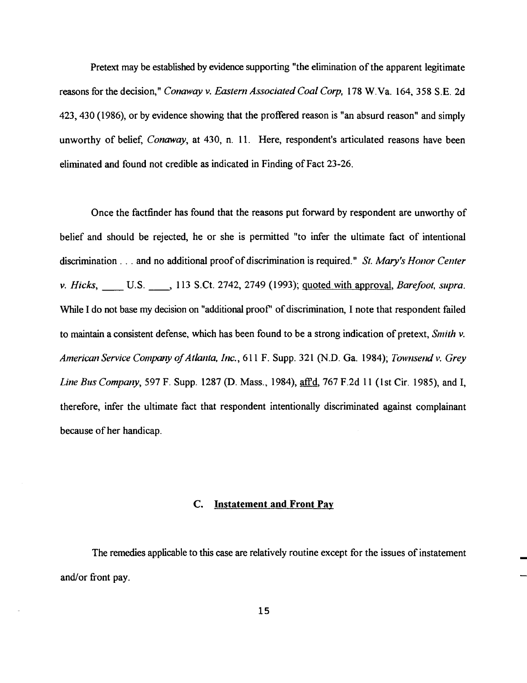Pretext may be established by evidence supporting "the elimination of the apparent legitimate reasons for the decision," *Conaway v. Eastern Associated Coal Corp*, 178 W.Va. 164, 358 S.E. 2d 423,430 (1986), or by evidence showing that the proffered reason is "an absurd reason" and simply unworthy of belief, *Conaway,* at 430, n. 11. Here, respondent's articulated reasons have been eliminated and found not credible as indicated in Finding of Fact 23-26.

Once the factfinder has found that the reasons put forward by respondent are unworthy of belief and should be rejected, he or she is permitted "to infer the ultimate fact of intentional discrimination . . . and no additional proof of discrimination is required." *St. Mary's Honor Center v. Hicks*, **U.S. \_\_\_, 113 S.Ct. 2742, 2749 (1993)**; <u>quoted with approval</u>, *Barefoot, supra.* While I do not base my decision on "additional proof" of discrimination, I note that respondent failed to maintain a consistent defense, which has been found to be a strong indication of pretext, *Smith v. American Service Company ofAtlanta, Inc.,* 611 F. Supp. 321 (N.D. Ga. 1984); *Townsend v. Grey Line Bus Company,* 597 F. Supp. 1287 (D. Mass., 1984), aff'd, 767 F.2d 11 (1st Cir. 1985), and I, therefore, infer the ultimate fact that respondent intentionally discriminated against complainant because of her handicap.

## C. Instatement and Front Pay

The remedies applicable to this case are relatively routine except for the issues of instatement and/or front pay.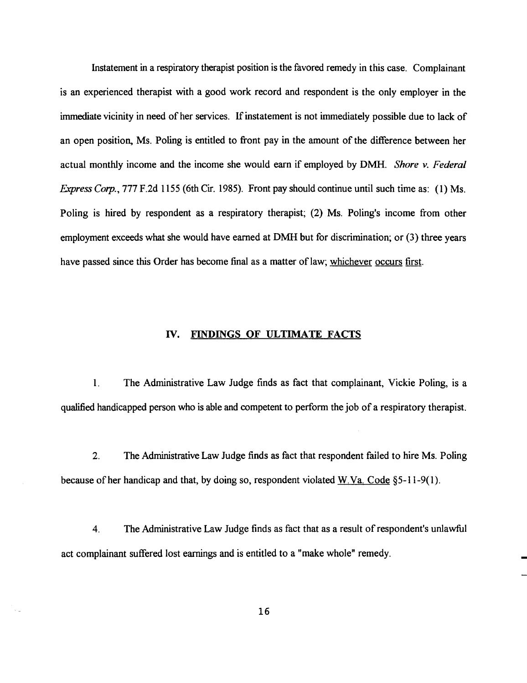Instatement in a respiratory therapist position is the favored remedy in this case. Complainant is an experienced therapist with a good work record and respondent is the only employer in the immediate vicinity in need of her services. If instatement is not immediately possible due to lack of an open position, Ms. Poling is entitled to front pay in the amount of the difference between her actual monthly income and the income she would earn if employed by DMH. *Shore v. Federal Express Corp.,* 777 F.2d 1155 (6th Cir. 1985). Front pay should continue until such time as: (1) Ms. Poling is hired by respondent as a respiratory therapist; (2) Ms. Poling's income from other employment exceeds what she would have earned at DMH but for discrimination; or (3) three years have passed since this Order has become final as a matter of law; whichever occurs first.

## IV. FINDINGS OF ULTIMATE FACTS

1. The Administrative Law Judge finds as fact that complainant, Vickie Poling, is a qualified handicapped person who is able and competent to perform the job of a respiratory therapist.

2. The Administrative Law Judge finds as fact that respondent failed to hire Ms. Poling because of her handicap and that, by doing so, respondent violated W.Va. Code §5-11-9(1).

4. The Administrative Law Judge finds as fact that as a result ofrespondent's unlawful act complainant suffered lost earnings and is entitled to a "make whole" remedy.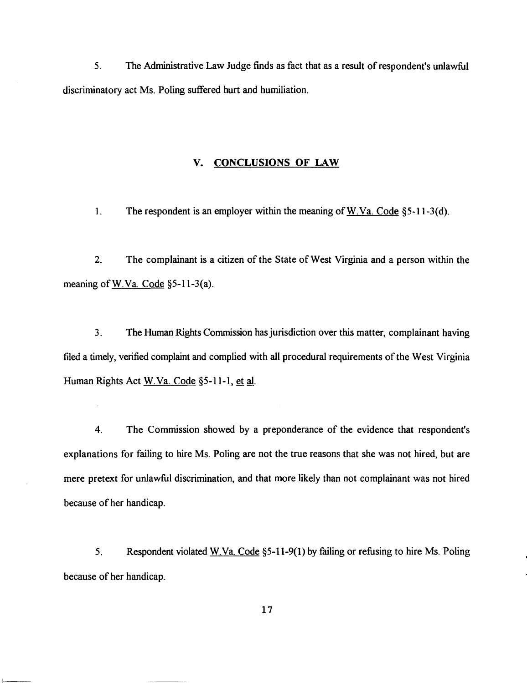5. The Administrative Law Judge finds as fact that as a result ofrespondent's unlawful discriminatory act Ms. Poling suffered hurt and humiliation.

## v. CONCLUSIONS OF LAW

1. The respondent is an employer within the meaning of W.Va. Code  $\S$ 5-11-3(d).

2. The complainant is a citizen of the State of West Virginia and a person within the meaning of W.Va. Code §5-11-3(a).

3. The Human Rights Commission hasjurisdiction over this matter, complainant having filed a timely, verified complaint and complied with all procedural requirements of the West Virginia Human Rights Act W.Va. Code §5-11-1, et al.

4. The Commission showed by a preponderance of the evidence that respondent's explanations for failing to hire Ms. Poling are not the true reasons that she was not hired, but are mere pretext for unlawful discrimination, and that more likely than not complainant was not hired because of her handicap.

5. Respondent violated W.Va. Code §5-11-9(l) by failing or refusing to hire Ms. Poling because of her handicap.

|<br>|---------------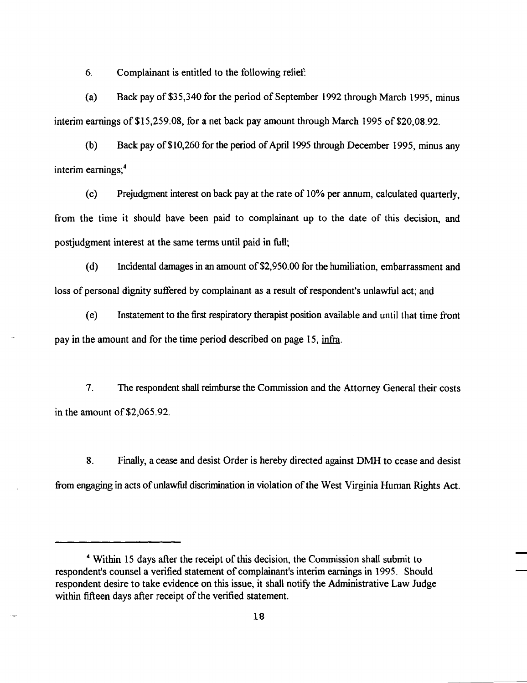6. Complainant is entitled to the following relief:

(a) Back pay of \$35,340 for the period of September 1992 through March 1995, minus interim earnings of \$15,259.08, for a net back pay amount through March 1995 of \$20.08.92.

(b) Back pay of \$10,260 for the period of April 1995 through December 1995, minus any interim earnings:<sup>4</sup>

(c) Prejudgment interest on back pay at the rate of 10% per annum, calculated quarterly, from the time it should have been paid to complainant up to the date of this decision, and postjudgment interest at the same terms until paid in full;

(d) Incidental damages in an amount of\$2,950.00 for the humiliation, embarrassment and loss of personal dignity suffered by complainant as a result of respondent's unlawful act; and

(e) Instatement to the first respiratory therapist position available and until that time front pay in the amount and for the time period described on page 15, infra.

7. The respondent shall reimburse the Commission and the Attorney General their costs in the amount of\$2,065.92.

8. Finally, a cease and desist Order is hereby directed against DMH to cease and desist from engaging in acts of unlawful discrimination in violation of the West Virginia Human Rights Act.

<sup>&</sup>lt;sup>4</sup> Within 15 days after the receipt of this decision, the Commission shall submit to respondent's counsel a verified statement of complainant's interim earnings in 1995. Should respondent desire to take evidence on this issue, it shall notify the Administrative Law Judge within fifteen days after receipt of the verified statement.